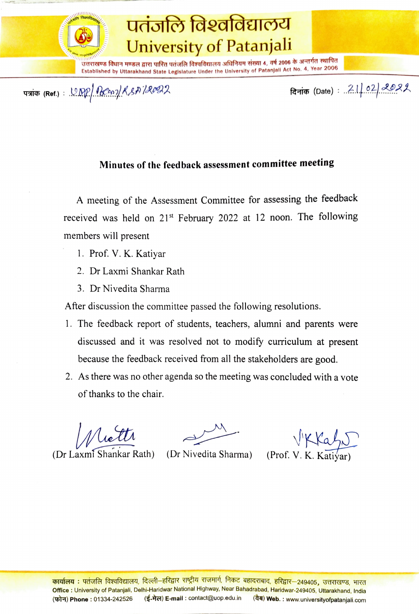

## पतंजलि विश्वविद्यालय University of Patanjali

TVTUE faUT HUS TRI UufT verofa favafdenau afafAuy vjuI 4, TÅ 2006 -TaT 7Tte EStadished by Uttarakhand State Legislature Under the University of Patanjall Act No. 4, Year 2006

TAT5 (Ref.): 22nKsA 1R fai (Date): 2.02|II, \*\*\*\*\*\*\*

## Minutes of the feedback assessment committee meeting

A meeting of the Assessment Committee for assessing the feedback received was held on 21<sup>st</sup> February 2022 at 12 noon. The following members will present

- 1. Prof. V. K. Katiyar
- 2. Dr Laxmi Shankar Rath
- 3. Dr Nivedita Sharma

After discussion the committee passed the following resolutions.

- 1. The feedback report of students, teachers, alumni and parents were discussed and it was resolved not to modify curriculum at present because the feedback received from all the stakeholders are good.
- 2. As there was no other agenda so the meeting was concluded with a vote of thanks to the chair.

Niettr

VKKah

(Dr Laxmi Shankar Rath) (Dr Nivedita Sharma) (Prof. V. K. Katiýar)